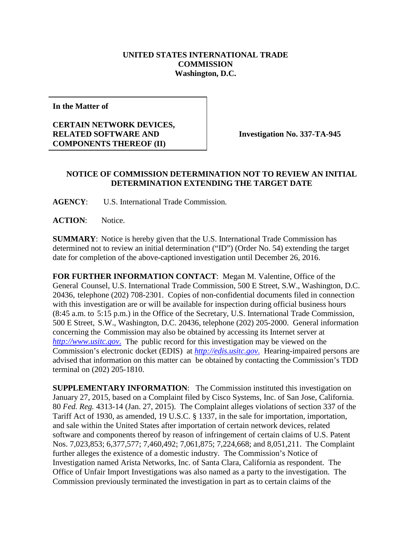## **UNITED STATES INTERNATIONAL TRADE COMMISSION Washington, D.C.**

**In the Matter of**

## **CERTAIN NETWORK DEVICES, RELATED SOFTWARE AND COMPONENTS THEREOF (II)**

**Investigation No. 337-TA-945**

## **NOTICE OF COMMISSION DETERMINATION NOT TO REVIEW AN INITIAL DETERMINATION EXTENDING THE TARGET DATE**

**AGENCY**: U.S. International Trade Commission.

**ACTION**: Notice.

**SUMMARY**: Notice is hereby given that the U.S. International Trade Commission has determined not to review an initial determination ("ID") (Order No. 54) extending the target date for completion of the above-captioned investigation until December 26, 2016.

**FOR FURTHER INFORMATION CONTACT**: Megan M. Valentine, Office of the General Counsel, U.S. International Trade Commission, 500 E Street, S.W., Washington, D.C. 20436, telephone (202) 708-2301. Copies of non-confidential documents filed in connection with this investigation are or will be available for inspection during official business hours (8:45 a.m. to 5:15 p.m.) in the Office of the Secretary, U.S. International Trade Commission, 500 E Street, S.W., Washington, D.C. 20436, telephone (202) 205-2000. General information concerning the Commission may also be obtained by accessing its Internet server at *[http://www.usitc.gov](http://www.usitc.gov./)*. The public record for this investigation may be viewed on the Commission's electronic docket (EDIS) at *[http://edis.usitc.gov](http://edis.usitc.gov./)*. Hearing-impaired persons are advised that information on this matter can be obtained by contacting the Commission's TDD terminal on (202) 205-1810.

**SUPPLEMENTARY INFORMATION:** The Commission instituted this investigation on January 27, 2015, based on a Complaint filed by Cisco Systems, Inc. of San Jose, California. 80 *Fed. Reg.* 4313-14 (Jan. 27, 2015). The Complaint alleges violations of section 337 of the Tariff Act of 1930, as amended, 19 U.S.C. § 1337, in the sale for importation, importation, and sale within the United States after importation of certain network devices, related software and components thereof by reason of infringement of certain claims of U.S. Patent Nos. 7,023,853; 6,377,577; 7,460,492; 7,061,875; 7,224,668; and 8,051,211. The Complaint further alleges the existence of a domestic industry. The Commission's Notice of Investigation named Arista Networks, Inc. of Santa Clara, California as respondent. The Office of Unfair Import Investigations was also named as a party to the investigation. The Commission previously terminated the investigation in part as to certain claims of the